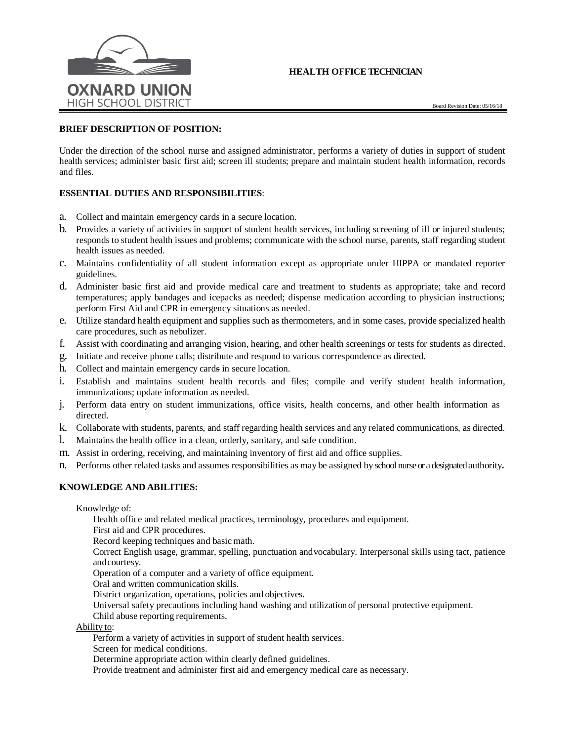# **HEALTH OFFICE TECHNICIAN**



### **BRIEF DESCRIPTION OF POSITION:**

Under the direction of the school nurse and assigned administrator, performs a variety of duties in support of student health services; administer basic first aid; screen ill students; prepare and maintain student health information, records and files.

## **ESSENTIAL DUTIES AND RESPONSIBILITIES**:

- a. Collect and maintain emergency cards in a secure location.
- b. Provides a variety of activities in support of student health services, including screening of ill or injured students; responds to student health issues and problems; communicate with the school nurse, parents, staff regarding student health issues as needed.
- c. Maintains confidentiality of all student information except as appropriate under HIPPA or mandated reporter guidelines.
- d. Administer basic first aid and provide medical care and treatment to students as appropriate; take and record temperatures; apply bandages and icepacks as needed; dispense medication according to physician instructions; perform First Aid and CPR in emergency situations as needed.
- e. Utilize standard health equipment and supplies such as thermometers, and in some cases, provide specialized health care procedures, such as nebulizer.
- f. Assist with coordinating and arranging vision, hearing, and other health screenings or tests for students as directed.
- g. Initiate and receive phone calls; distribute and respond to various correspondence as directed.
- h. Collect and maintain emergency cards in secure location.
- i. Establish and maintains student health records and files; compile and verify student health information, immunizations; update information as needed.
- j. Perform data entry on student immunizations, office visits, health concerns, and other health information as directed.
- k. Collaborate with students, parents, and staff regarding health services and any related communications, as directed.
- l. Maintains the health office in a clean, orderly, sanitary, and safe condition.
- m. Assist in ordering, receiving, and maintaining inventory of first aid and office supplies.
- n. Performs other related tasks and assumes responsibilities as may be assigned by school nurse or a designated authority**.**

### **KNOWLEDGE AND ABILITIES:**

Knowledge of:

Health office and related medical practices, terminology, procedures and equipment.

First aid and CPR procedures.

Record keeping techniques and basic math.

Correct English usage, grammar, spelling, punctuation andvocabulary. Interpersonal skills using tact, patience andcourtesy.

Operation of a computer and a variety of office equipment.

Oral and written communication skills.

District organization, operations, policies and objectives.

Universal safety precautions including hand washing and utilization of personal protective equipment.

Child abuse reporting requirements.

Ability to:

Perform a variety of activities in support of student health services.

Screen for medical conditions.

Determine appropriate action within clearly defined guidelines.

Provide treatment and administer first aid and emergency medical care as necessary.